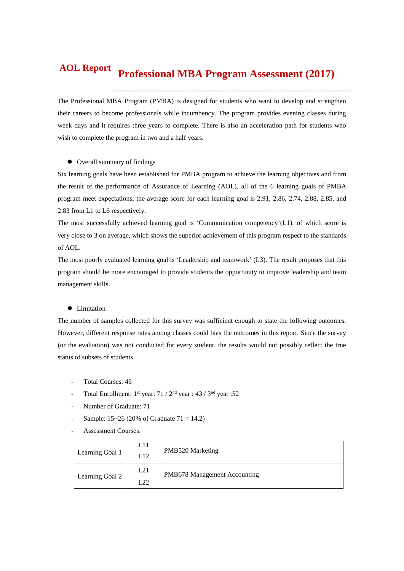#### **Professional MBA Program Assessment (2017) AOL Report**

The Professional MBA Program (PMBA) is designed for students who want to develop and strengthen their careers to become professionals while incumbency. The program provides evening classes during week days and it requires three years to complete. There is also an acceleration path for students who wish to complete the program in two and a half years.

#### Overall summary of findings

Six learning goals have been established for PMBA program to achieve the learning objectives and from the result of the performance of Assurance of Learning (AOL), all of the 6 learning goals of PMBA program meet expectations; the average score for each learning goal is 2.91, 2.86, 2.74, 2.88, 2.85, and 2.83 from L1 to L6 respectively.

The most successfully achieved learning goal is 'Communication competency'(L1), of which score is very close to 3 on average, which shows the superior achievement of this program respect to the standards of AOL.

The most poorly evaluated learning goal is 'Leadership and teamwork' (L3). The result proposes that this program should be more encouraged to provide students the opportunity to improve leadership and team management skills.

#### **•** Limitation

The number of samples collected for this survey was sufficient enough to state the following outcomes. However, different response rates among classes could bias the outcomes in this report. Since the survey (or the evaluation) was not conducted for every student, the results would not possibly reflect the true status of subsets of students.

- Total Courses: 46
- Total Enrollment:  $1^{st}$  year:  $71 / 2^{nd}$  year :  $43 / 3^{nd}$  year :  $52$
- Number of Graduate: 71
- Sample:  $15~26$  (20% of Graduate  $71 = 14.2$ )
- Assessment Courses:

| Learning Goal 1 | L11<br>L12 | <b>PMB520 Marketing</b>             |
|-----------------|------------|-------------------------------------|
| Learning Goal 2 | L21<br>L22 | <b>PMB678 Management Accounting</b> |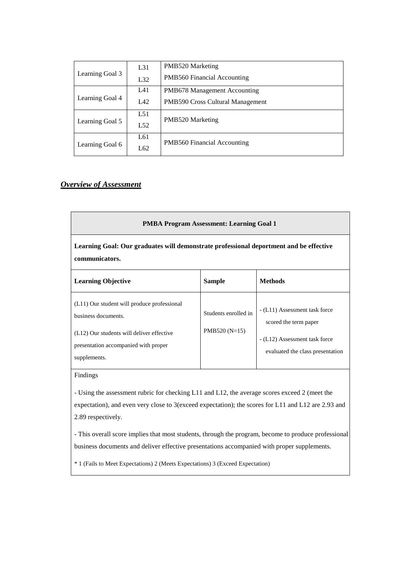|                 | L31 | PMB520 Marketing                   |  |  |  |  |
|-----------------|-----|------------------------------------|--|--|--|--|
| Learning Goal 3 | L32 | PMB560 Financial Accounting        |  |  |  |  |
|                 | L41 | PMB678 Management Accounting       |  |  |  |  |
| Learning Goal 4 | LA2 | PMB590 Cross Cultural Management   |  |  |  |  |
|                 | L51 |                                    |  |  |  |  |
| Learning Goal 5 | L52 | PMB520 Marketing                   |  |  |  |  |
|                 | L61 | <b>PMB560 Financial Accounting</b> |  |  |  |  |
| Learning Goal 6 | L62 |                                    |  |  |  |  |

# *Overview of Assessment*

| <b>PMBA Program Assessment: Learning Goal 1</b>                                                                                                                         |                                        |                                                                                                                             |  |  |  |  |  |  |
|-------------------------------------------------------------------------------------------------------------------------------------------------------------------------|----------------------------------------|-----------------------------------------------------------------------------------------------------------------------------|--|--|--|--|--|--|
| Learning Goal: Our graduates will demonstrate professional deportment and be effective<br>communicators.                                                                |                                        |                                                                                                                             |  |  |  |  |  |  |
| <b>Methods</b><br><b>Learning Objective</b><br><b>Sample</b>                                                                                                            |                                        |                                                                                                                             |  |  |  |  |  |  |
| (L11) Our student will produce professional<br>business documents.<br>(L12) Our students will deliver effective<br>presentation accompanied with proper<br>supplements. | Students enrolled in<br>$PMB520(N=15)$ | - (L11) Assessment task force<br>scored the term paper<br>- (L12) Assessment task force<br>evaluated the class presentation |  |  |  |  |  |  |

# Findings

- Using the assessment rubric for checking L11 and L12, the average scores exceed 2 (meet the expectation), and even very close to 3(exceed expectation); the scores for L11 and L12 are 2.93 and 2.89 respectively.

- This overall score implies that most students, through the program, become to produce professional business documents and deliver effective presentations accompanied with proper supplements.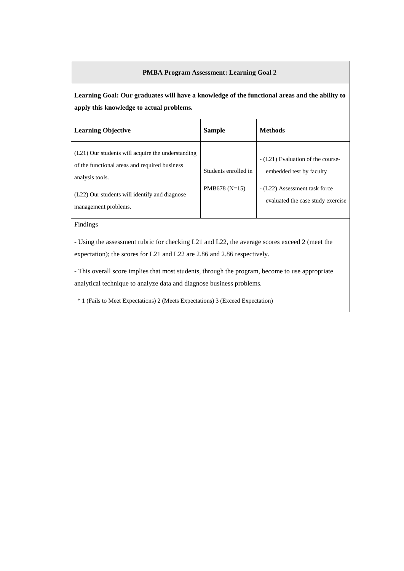**Learning Goal: Our graduates will have a knowledge of the functional areas and the ability to apply this knowledge to actual problems.**

| <b>Learning Objective</b>                                                                                                                                                                      | <b>Sample</b>                           | <b>Methods</b>                                                                                                                      |
|------------------------------------------------------------------------------------------------------------------------------------------------------------------------------------------------|-----------------------------------------|-------------------------------------------------------------------------------------------------------------------------------------|
| (L21) Our students will acquire the understanding<br>of the functional areas and required business<br>analysis tools.<br>(L22) Our students will identify and diagnose<br>management problems. | Students enrolled in<br>PMB678 $(N=15)$ | - (L21) Evaluation of the course-<br>embedded test by faculty<br>- (L22) Assessment task force<br>evaluated the case study exercise |

Findings

- Using the assessment rubric for checking L21 and L22, the average scores exceed 2 (meet the expectation); the scores for L21 and L22 are 2.86 and 2.86 respectively.

- This overall score implies that most students, through the program, become to use appropriate analytical technique to analyze data and diagnose business problems.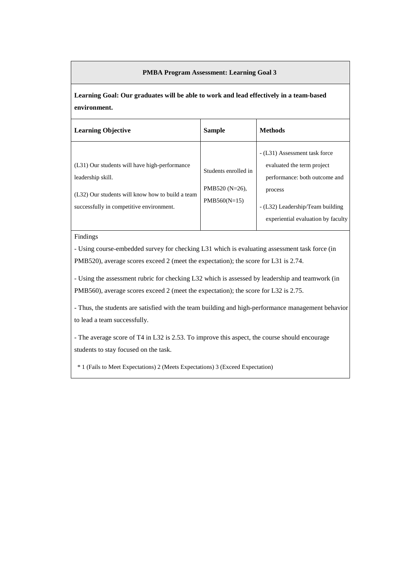**Learning Goal: Our graduates will be able to work and lead effectively in a team-based environment.**

| <b>Learning Objective</b>                                                                                                                                          | <b>Sample</b>                                               | <b>Methods</b>                                                                                                                              |
|--------------------------------------------------------------------------------------------------------------------------------------------------------------------|-------------------------------------------------------------|---------------------------------------------------------------------------------------------------------------------------------------------|
| (L31) Our students will have high-performance<br>leadership skill.<br>(L32) Our students will know how to build a team<br>successfully in competitive environment. | Students enrolled in<br>PMB520 $(N=26)$ ,<br>$PMB560(N=15)$ | - (L31) Assessment task force<br>evaluated the term project<br>performance: both outcome and<br>process<br>- (L32) Leadership/Team building |
|                                                                                                                                                                    |                                                             | experiential evaluation by faculty                                                                                                          |

Findings

- Using course-embedded survey for checking L31 which is evaluating assessment task force (in PMB520), average scores exceed 2 (meet the expectation); the score for L31 is 2.74.

- Using the assessment rubric for checking L32 which is assessed by leadership and teamwork (in PMB560), average scores exceed 2 (meet the expectation); the score for L32 is 2.75.

- Thus, the students are satisfied with the team building and high-performance management behavior to lead a team successfully.

- The average score of T4 in L32 is 2.53. To improve this aspect, the course should encourage students to stay focused on the task.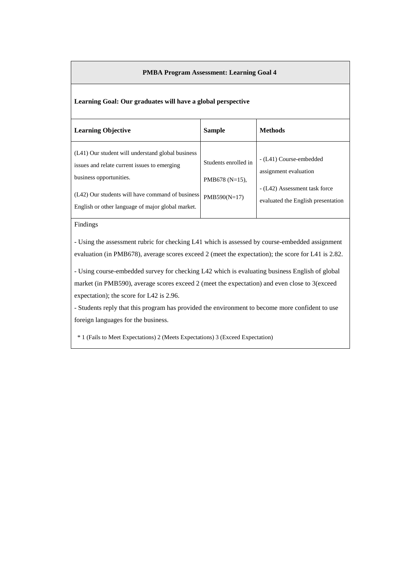#### **Learning Goal: Our graduates will have a global perspective**

| <b>Learning Objective</b>                                                                                                                                                                                                             | <b>Sample</b>                                               | <b>Methods</b>                                                                                                          |
|---------------------------------------------------------------------------------------------------------------------------------------------------------------------------------------------------------------------------------------|-------------------------------------------------------------|-------------------------------------------------------------------------------------------------------------------------|
| (L41) Our student will understand global business<br>issues and relate current issues to emerging<br>business opportunities.<br>(L42) Our students will have command of business<br>English or other language of major global market. | Students enrolled in<br>PMB678 $(N=15)$ ,<br>$PMB590(N=17)$ | - (L41) Course-embedded<br>assignment evaluation<br>- (L42) Assessment task force<br>evaluated the English presentation |

#### Findings

- Using the assessment rubric for checking L41 which is assessed by course-embedded assignment evaluation (in PMB678), average scores exceed 2 (meet the expectation); the score for L41 is 2.82.

- Using course-embedded survey for checking L42 which is evaluating business English of global market (in PMB590), average scores exceed 2 (meet the expectation) and even close to 3(exceed expectation); the score for L42 is 2.96.

- Students reply that this program has provided the environment to become more confident to use foreign languages for the business.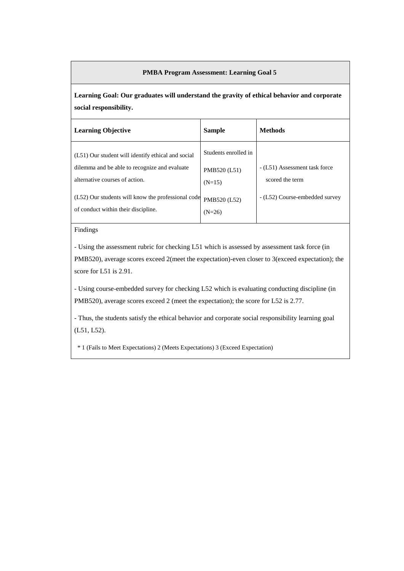**Learning Goal: Our graduates will understand the gravity of ethical behavior and corporate social responsibility.**

| <b>Learning Objective</b>                                                                                                             | <b>Sample</b>                                    | <b>Methods</b>                                   |
|---------------------------------------------------------------------------------------------------------------------------------------|--------------------------------------------------|--------------------------------------------------|
| (L51) Our student will identify ethical and social<br>dilemma and be able to recognize and evaluate<br>alternative courses of action. | Students enrolled in<br>PMB520 (L51)<br>$(N=15)$ | - (L51) Assessment task force<br>scored the term |
| (L52) Our students will know the professional code<br>of conduct within their discipline.                                             | PMB520 (L52)<br>$(N=26)$                         | - (L52) Course-embedded survey                   |

## Findings

- Using the assessment rubric for checking L51 which is assessed by assessment task force (in PMB520), average scores exceed 2(meet the expectation)-even closer to 3(exceed expectation); the score for L51 is 2.91.

- Using course-embedded survey for checking L52 which is evaluating conducting discipline (in PMB520), average scores exceed 2 (meet the expectation); the score for L52 is 2.77.

- Thus, the students satisfy the ethical behavior and corporate social responsibility learning goal (L51, L52).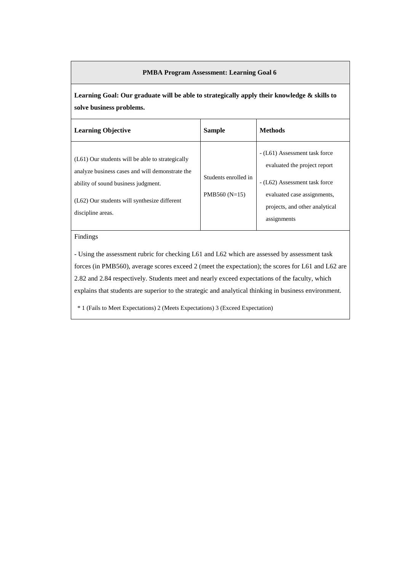**Learning Goal: Our graduate will be able to strategically apply their knowledge & skills to solve business problems.**

| <b>Learning Objective</b>                                                                                                                                                                                         | <b>Sample</b>                           | <b>Methods</b>                                                                                                                                                                 |
|-------------------------------------------------------------------------------------------------------------------------------------------------------------------------------------------------------------------|-----------------------------------------|--------------------------------------------------------------------------------------------------------------------------------------------------------------------------------|
| (L61) Our students will be able to strategically<br>analyze business cases and will demonstrate the<br>ability of sound business judgment.<br>$(L62)$ Our students will synthesize different<br>discipline areas. | Students enrolled in<br>PMB560 $(N=15)$ | - (L61) Assessment task force<br>evaluated the project report<br>- (L62) Assessment task force<br>evaluated case assignments,<br>projects, and other analytical<br>assignments |

#### Findings

- Using the assessment rubric for checking L61 and L62 which are assessed by assessment task forces (in PMB560), average scores exceed 2 (meet the expectation); the scores for L61 and L62 are 2.82 and 2.84 respectively. Students meet and nearly exceed expectations of the faculty, which explains that students are superior to the strategic and analytical thinking in business environment.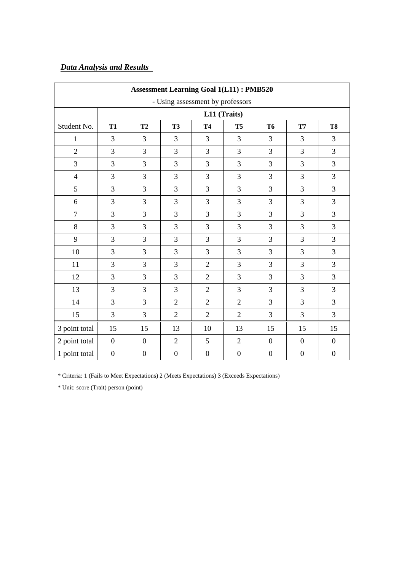# *Data Analysis and Results*

| <b>Assessment Learning Goal 1(L11): PMB520</b> |                  |                  |                  |                  |                  |                  |                  |                  |  |
|------------------------------------------------|------------------|------------------|------------------|------------------|------------------|------------------|------------------|------------------|--|
| - Using assessment by professors               |                  |                  |                  |                  |                  |                  |                  |                  |  |
|                                                |                  |                  |                  |                  | L11 (Traits)     |                  |                  |                  |  |
| Student No.                                    | <b>T1</b>        | T2               | <b>T3</b>        | <b>T4</b>        | <b>T5</b>        | <b>T6</b>        | <b>T7</b>        | <b>T8</b>        |  |
| $\mathbf{1}$                                   | $\overline{3}$   | 3                | $\overline{3}$   | 3                | 3                | 3                | $\overline{3}$   | $\overline{3}$   |  |
| $\overline{2}$                                 | 3                | 3                | $\overline{3}$   | 3                | 3                | 3                | $\overline{3}$   | $\overline{3}$   |  |
| $\overline{3}$                                 | 3                | $\overline{3}$   | $\overline{3}$   | $\overline{3}$   | 3                | 3                | $\overline{3}$   | $\overline{3}$   |  |
| $\overline{4}$                                 | 3                | 3                | $\overline{3}$   | $\overline{3}$   | $\overline{3}$   | 3                | $\overline{3}$   | $\overline{3}$   |  |
| 5                                              | 3                | 3                | $\overline{3}$   | 3                | 3                | $\overline{3}$   | 3                | $\mathfrak{Z}$   |  |
| 6                                              | 3                | 3                | $\overline{3}$   | 3                | 3                | 3                | 3                | $\overline{3}$   |  |
| $\overline{7}$                                 | 3                | 3                | 3                | 3                | 3                | 3                | $\overline{3}$   | $\mathfrak{Z}$   |  |
| $8\,$                                          | 3                | 3                | $\overline{3}$   | 3                | 3                | 3                | $\overline{3}$   | $\mathfrak{Z}$   |  |
| 9                                              | 3                | 3                | $\overline{3}$   | 3                | 3                | 3                | 3                | 3                |  |
| 10                                             | 3                | 3                | 3                | 3                | 3                | 3                | 3                | $\overline{3}$   |  |
| 11                                             | 3                | 3                | 3                | $\overline{2}$   | 3                | 3                | $\overline{3}$   | 3                |  |
| 12                                             | 3                | 3                | $\overline{3}$   | $\overline{2}$   | 3                | 3                | $\overline{3}$   | 3                |  |
| 13                                             | 3                | 3                | $\overline{3}$   | $\overline{2}$   | $\overline{3}$   | 3                | 3                | $\overline{3}$   |  |
| 14                                             | 3                | $\overline{3}$   | $\overline{2}$   | $\overline{2}$   | $\overline{2}$   | 3                | $\overline{3}$   | $\overline{3}$   |  |
| 15                                             | 3                | $\overline{3}$   | $\overline{2}$   | $\overline{2}$   | $\overline{2}$   | 3                | $\overline{3}$   | $\overline{3}$   |  |
| 3 point total                                  | 15               | 15               | 13               | 10               | 13               | 15               | 15               | 15               |  |
| 2 point total                                  | $\boldsymbol{0}$ | $\boldsymbol{0}$ | $\overline{2}$   | 5                | $\overline{2}$   | $\boldsymbol{0}$ | $\boldsymbol{0}$ | $\overline{0}$   |  |
| 1 point total                                  | $\boldsymbol{0}$ | $\boldsymbol{0}$ | $\boldsymbol{0}$ | $\boldsymbol{0}$ | $\boldsymbol{0}$ | $\boldsymbol{0}$ | $\boldsymbol{0}$ | $\boldsymbol{0}$ |  |

\* Criteria: 1 (Fails to Meet Expectations) 2 (Meets Expectations) 3 (Exceeds Expectations)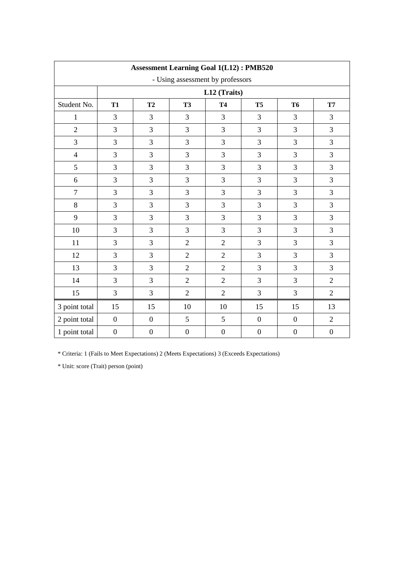| <b>Assessment Learning Goal 1(L12): PMB520</b> |                  |                  |                  |                  |                  |                  |                  |  |  |  |
|------------------------------------------------|------------------|------------------|------------------|------------------|------------------|------------------|------------------|--|--|--|
| - Using assessment by professors               |                  |                  |                  |                  |                  |                  |                  |  |  |  |
|                                                | L12 (Traits)     |                  |                  |                  |                  |                  |                  |  |  |  |
| Student No.                                    | <b>T1</b>        | T2               | <b>T3</b>        | <b>T4</b>        | <b>T5</b>        | <b>T6</b>        | <b>T7</b>        |  |  |  |
| 1                                              | 3                | $\overline{3}$   | 3                | 3                | 3                | $\overline{3}$   | 3                |  |  |  |
| $\overline{2}$                                 | 3                | $\overline{3}$   | 3                | $\overline{3}$   | 3                | $\overline{3}$   | 3                |  |  |  |
| 3                                              | 3                | 3                | 3                | 3                | 3                | 3                | 3                |  |  |  |
| $\overline{4}$                                 | 3                | 3                | 3                | $\overline{3}$   | 3                | $\overline{3}$   | 3                |  |  |  |
| 5                                              | 3                | 3                | 3                | 3                | 3                | $\overline{3}$   | 3                |  |  |  |
| 6                                              | 3                | $\overline{3}$   | 3                | 3                | 3                | $\overline{3}$   | 3                |  |  |  |
| $\overline{7}$                                 | 3                | $\overline{3}$   | 3                | 3                | 3                | 3                | 3                |  |  |  |
| 8                                              | 3                | $\overline{3}$   | 3                | $\overline{3}$   | 3                | $\overline{3}$   | 3                |  |  |  |
| 9                                              | 3                | $\mathfrak{Z}$   | 3                | 3                | 3                | $\overline{3}$   | 3                |  |  |  |
| 10                                             | 3                | 3                | 3                | 3                | 3                | $\overline{3}$   | 3                |  |  |  |
| 11                                             | 3                | $\overline{3}$   | $\overline{2}$   | $\overline{2}$   | 3                | $\overline{3}$   | 3                |  |  |  |
| 12                                             | 3                | 3                | $\overline{2}$   | $\overline{2}$   | 3                | $\overline{3}$   | 3                |  |  |  |
| 13                                             | 3                | 3                | $\overline{2}$   | $\overline{2}$   | 3                | $\overline{3}$   | 3                |  |  |  |
| 14                                             | 3                | 3                | $\overline{2}$   | $\overline{2}$   | 3                | $\overline{3}$   | $\overline{c}$   |  |  |  |
| 15                                             | 3                | $\mathfrak{Z}$   | $\mathbf{2}$     | $\overline{2}$   | $\mathfrak{Z}$   | $\overline{3}$   | $\mathbf{2}$     |  |  |  |
| 3 point total                                  | 15               | 15               | 10               | 10               | 15               | 15               | 13               |  |  |  |
| 2 point total                                  | $\boldsymbol{0}$ | $\boldsymbol{0}$ | 5                | 5                | $\boldsymbol{0}$ | $\boldsymbol{0}$ | $\overline{2}$   |  |  |  |
| 1 point total                                  | $\boldsymbol{0}$ | $\boldsymbol{0}$ | $\boldsymbol{0}$ | $\boldsymbol{0}$ | $\boldsymbol{0}$ | $\boldsymbol{0}$ | $\boldsymbol{0}$ |  |  |  |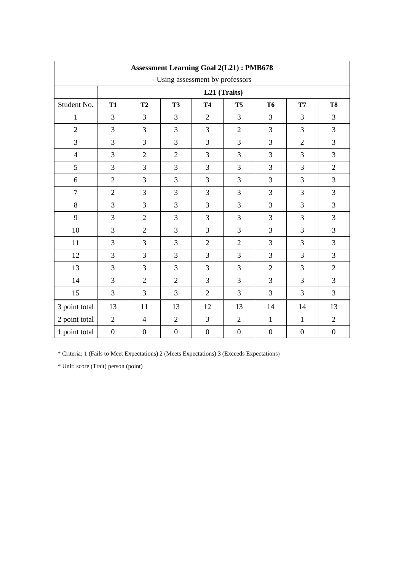| <b>Assessment Learning Goal 2(L21): PMB678</b> |                  |                  |                  |                  |                  |                  |                  |                  |  |  |
|------------------------------------------------|------------------|------------------|------------------|------------------|------------------|------------------|------------------|------------------|--|--|
| - Using assessment by professors               |                  |                  |                  |                  |                  |                  |                  |                  |  |  |
|                                                | L21 (Traits)     |                  |                  |                  |                  |                  |                  |                  |  |  |
| Student No.                                    | <b>T1</b>        | <b>T2</b>        | <b>T3</b>        | <b>T4</b>        | <b>T5</b>        | <b>T6</b>        | <b>T7</b>        | T <sub>8</sub>   |  |  |
| 1                                              | 3                | 3                | $\overline{3}$   | $\overline{2}$   | 3                | 3                | 3                | $\overline{3}$   |  |  |
| $\overline{2}$                                 | 3                | 3                | $\overline{3}$   | 3                | $\overline{2}$   | 3                | 3                | $\mathfrak{Z}$   |  |  |
| $\overline{3}$                                 | 3                | 3                | 3                | 3                | 3                | 3                | $\overline{2}$   | 3                |  |  |
| $\overline{4}$                                 | 3                | $\overline{2}$   | $\overline{2}$   | 3                | 3                | 3                | 3                | $\overline{3}$   |  |  |
| 5                                              | 3                | 3                | 3                | $\overline{3}$   | 3                | 3                | 3                | $\overline{2}$   |  |  |
| 6                                              | $\overline{2}$   | 3                | $\overline{3}$   | 3                | 3                | 3                | 3                | $\overline{3}$   |  |  |
| $\overline{7}$                                 | $\overline{2}$   | 3                | 3                | 3                | 3                | 3                | 3                | 3                |  |  |
| $\,8\,$                                        | 3                | 3                | $\overline{3}$   | $\overline{3}$   | $\overline{3}$   | 3                | 3                | $\overline{3}$   |  |  |
| 9                                              | 3                | $\overline{2}$   | 3                | 3                | 3                | 3                | 3                | $\overline{3}$   |  |  |
| 10                                             | 3                | $\overline{2}$   | $\overline{3}$   | $\overline{3}$   | $\overline{3}$   | 3                | 3                | 3                |  |  |
| 11                                             | 3                | 3                | $\overline{3}$   | $\overline{2}$   | $\overline{2}$   | 3                | 3                | $\overline{3}$   |  |  |
| 12                                             | 3                | 3                | 3                | 3                | 3                | 3                | 3                | 3                |  |  |
| 13                                             | 3                | 3                | 3                | 3                | 3                | $\overline{2}$   | 3                | $\overline{2}$   |  |  |
| 14                                             | 3                | $\overline{2}$   | $\overline{2}$   | $\overline{3}$   | $\overline{3}$   | 3                | 3                | $\overline{3}$   |  |  |
| 15                                             | 3                | 3                | $\overline{3}$   | $\overline{2}$   | 3                | 3                | 3                | $\mathfrak{Z}$   |  |  |
| 3 point total                                  | 13               | 11               | 13               | 12               | 13               | 14               | 14               | 13               |  |  |
| 2 point total                                  | $\overline{2}$   | $\overline{4}$   | $\overline{2}$   | $\overline{3}$   | $\overline{2}$   | $\mathbf{1}$     | $\mathbf{1}$     | $\overline{2}$   |  |  |
| 1 point total                                  | $\boldsymbol{0}$ | $\boldsymbol{0}$ | $\boldsymbol{0}$ | $\boldsymbol{0}$ | $\boldsymbol{0}$ | $\boldsymbol{0}$ | $\boldsymbol{0}$ | $\boldsymbol{0}$ |  |  |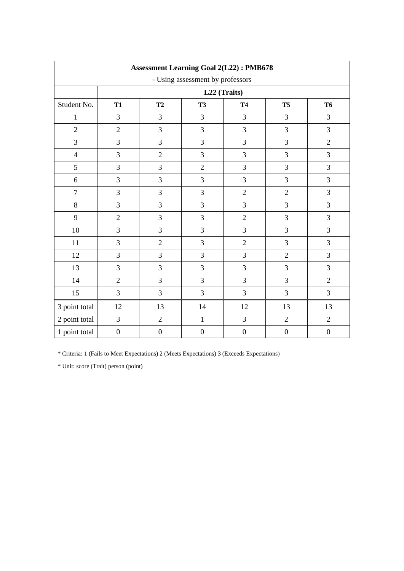| <b>Assessment Learning Goal 2(L22): PMB678</b> |                  |                                                             |                  |                  |                  |                  |  |  |  |  |  |
|------------------------------------------------|------------------|-------------------------------------------------------------|------------------|------------------|------------------|------------------|--|--|--|--|--|
| - Using assessment by professors               |                  |                                                             |                  |                  |                  |                  |  |  |  |  |  |
|                                                |                  | L22 (Traits)                                                |                  |                  |                  |                  |  |  |  |  |  |
| Student No.                                    | <b>T1</b>        | T2<br><b>T3</b><br><b>T4</b><br>T <sub>5</sub><br><b>T6</b> |                  |                  |                  |                  |  |  |  |  |  |
| $\mathbf{1}$                                   | 3                | $\mathfrak{Z}$                                              | 3                | $\mathfrak{Z}$   | 3                | 3                |  |  |  |  |  |
| $\overline{2}$                                 | $\sqrt{2}$       | 3                                                           | 3                | 3                | $\mathfrak{Z}$   | 3                |  |  |  |  |  |
| $\overline{3}$                                 | 3                | 3                                                           | 3                | $\overline{3}$   | $\overline{3}$   | $\overline{2}$   |  |  |  |  |  |
| $\overline{4}$                                 | $\mathfrak{Z}$   | $\overline{2}$                                              | 3                | 3                | $\overline{3}$   | 3                |  |  |  |  |  |
| 5                                              | 3                | 3                                                           | $\overline{2}$   | 3                | 3                | 3                |  |  |  |  |  |
| $\boldsymbol{6}$                               | 3                | 3                                                           | 3                | 3                | $\mathfrak{Z}$   | 3                |  |  |  |  |  |
| $\tau$                                         | 3                | 3                                                           | 3                | $\overline{2}$   | $\overline{2}$   | 3                |  |  |  |  |  |
| 8                                              | 3                | 3                                                           | 3                | 3                | 3                | 3                |  |  |  |  |  |
| 9                                              | $\overline{2}$   | 3                                                           | 3                | $\overline{2}$   | 3                | 3                |  |  |  |  |  |
| $10\,$                                         | 3                | 3                                                           | 3                | 3                | 3                | 3                |  |  |  |  |  |
| 11                                             | 3                | $\overline{2}$                                              | 3                | $\sqrt{2}$       | 3                | 3                |  |  |  |  |  |
| 12                                             | $\mathfrak{Z}$   | 3                                                           | 3                | 3                | $\overline{2}$   | 3                |  |  |  |  |  |
| 13                                             | 3                | 3                                                           | 3                | 3                | $\overline{3}$   | $\overline{3}$   |  |  |  |  |  |
| 14                                             | $\overline{2}$   | 3                                                           | 3                | 3                | $\overline{3}$   | $\overline{2}$   |  |  |  |  |  |
| 15                                             | 3                | 3                                                           | 3                | 3                | $\mathfrak{Z}$   | 3                |  |  |  |  |  |
| 3 point total                                  | 12               | 13                                                          | 14               | 12               | 13               | 13               |  |  |  |  |  |
| 2 point total                                  | 3                | $\sqrt{2}$                                                  | $\mathbf{1}$     | $\mathfrak{Z}$   | $\overline{2}$   | $\overline{2}$   |  |  |  |  |  |
| 1 point total                                  | $\boldsymbol{0}$ | $\boldsymbol{0}$                                            | $\boldsymbol{0}$ | $\boldsymbol{0}$ | $\boldsymbol{0}$ | $\boldsymbol{0}$ |  |  |  |  |  |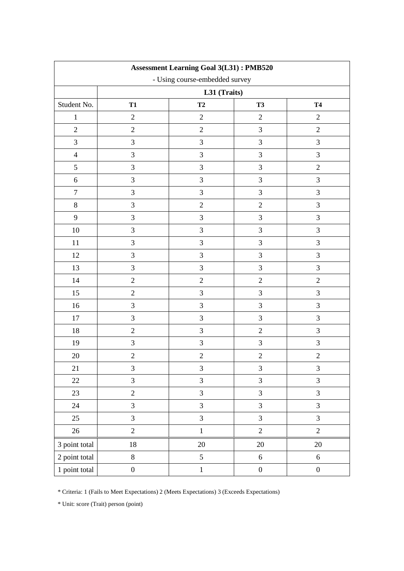| <b>Assessment Learning Goal 3(L31): PMB520</b> |                  |                |                  |                  |  |  |  |  |
|------------------------------------------------|------------------|----------------|------------------|------------------|--|--|--|--|
| - Using course-embedded survey                 |                  |                |                  |                  |  |  |  |  |
|                                                | L31 (Traits)     |                |                  |                  |  |  |  |  |
| Student No.                                    | <b>T1</b>        | <b>T4</b>      |                  |                  |  |  |  |  |
| $\mathbf{1}$                                   | $\sqrt{2}$       | $\overline{2}$ | $\sqrt{2}$       | $\sqrt{2}$       |  |  |  |  |
| $\overline{2}$                                 | $\overline{2}$   | $\overline{2}$ | $\mathfrak{Z}$   | $\overline{2}$   |  |  |  |  |
| 3                                              | $\mathfrak{Z}$   | 3              | 3                | 3                |  |  |  |  |
| $\overline{4}$                                 | $\mathfrak{Z}$   | 3              | 3                | 3                |  |  |  |  |
| 5                                              | $\mathfrak{Z}$   | 3              | $\mathfrak{Z}$   | $\overline{2}$   |  |  |  |  |
| $\sqrt{6}$                                     | 3                | 3              | 3                | $\mathfrak{Z}$   |  |  |  |  |
| $\tau$                                         | 3                | 3              | 3                | 3                |  |  |  |  |
| $8\,$                                          | $\mathfrak{Z}$   | $\overline{2}$ | $\overline{2}$   | $\mathfrak{Z}$   |  |  |  |  |
| 9                                              | $\mathfrak{Z}$   | 3              | $\mathfrak{Z}$   | $\mathfrak{Z}$   |  |  |  |  |
| 10                                             | $\mathfrak{Z}$   | 3              | 3                | $\mathfrak{Z}$   |  |  |  |  |
| 11                                             | $\mathfrak{Z}$   | 3              | 3                | 3                |  |  |  |  |
| 12                                             | $\mathfrak{Z}$   | 3              | 3                | $\mathfrak{Z}$   |  |  |  |  |
| 13                                             | 3                | 3              | 3                | 3                |  |  |  |  |
| 14                                             | $\overline{2}$   | $\overline{2}$ | $\overline{2}$   | $\mathbf{2}$     |  |  |  |  |
| 15                                             | $\sqrt{2}$       | 3              | 3                | 3                |  |  |  |  |
| 16                                             | $\mathfrak{Z}$   | 3              | 3                | 3                |  |  |  |  |
| 17                                             | 3                | 3              | $\mathfrak{Z}$   | $\mathfrak{Z}$   |  |  |  |  |
| 18                                             | $\overline{2}$   | 3              | $\sqrt{2}$       | 3                |  |  |  |  |
| 19                                             | $\mathfrak{Z}$   | 3              | 3                | $\mathfrak{Z}$   |  |  |  |  |
| 20                                             | $\sqrt{2}$       | $\sqrt{2}$     | $\sqrt{2}$       | $\overline{2}$   |  |  |  |  |
| 21                                             | 3                | 3              | 3                | 3                |  |  |  |  |
| $22\,$                                         | 3                | $\mathfrak{Z}$ | 3                | $\overline{3}$   |  |  |  |  |
| 23                                             | $\boldsymbol{2}$ | $\overline{3}$ | $\mathfrak{Z}$   | 3                |  |  |  |  |
| 24                                             | $\mathfrak{Z}$   | 3              | $\overline{3}$   | $\mathfrak{Z}$   |  |  |  |  |
| 25                                             | $\mathfrak{Z}$   | $\overline{3}$ | $\overline{3}$   | $\overline{3}$   |  |  |  |  |
| $26\,$                                         | $\overline{2}$   | $\mathbf 1$    | $\overline{2}$   | $\overline{c}$   |  |  |  |  |
| 3 point total                                  | $18\,$           | $20\,$         | $20\,$           | 20               |  |  |  |  |
| 2 point total                                  | $8\,$            | 5              | $\sqrt{6}$       | $6\,$            |  |  |  |  |
| 1 point total                                  | $\boldsymbol{0}$ | $\mathbbm{1}$  | $\boldsymbol{0}$ | $\boldsymbol{0}$ |  |  |  |  |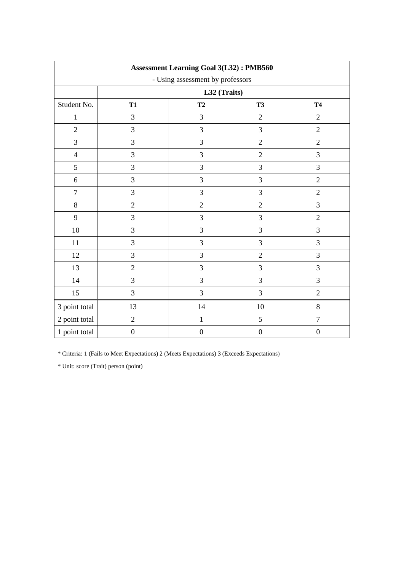| <b>Assessment Learning Goal 3(L32): PMB560</b> |                                           |                  |                  |                  |  |  |  |  |
|------------------------------------------------|-------------------------------------------|------------------|------------------|------------------|--|--|--|--|
| - Using assessment by professors               |                                           |                  |                  |                  |  |  |  |  |
|                                                | L32 (Traits)                              |                  |                  |                  |  |  |  |  |
| Student No.                                    | T2<br><b>T4</b><br><b>T1</b><br><b>T3</b> |                  |                  |                  |  |  |  |  |
| $\mathbf{1}$                                   | $\mathfrak{Z}$                            | 3                | $\sqrt{2}$       | $\overline{2}$   |  |  |  |  |
| $\overline{2}$                                 | 3                                         | 3                | 3                | $\overline{2}$   |  |  |  |  |
| 3                                              | 3                                         | 3                | $\sqrt{2}$       | $\sqrt{2}$       |  |  |  |  |
| $\overline{4}$                                 | $\mathfrak{Z}$                            | 3                | $\overline{2}$   | $\mathfrak{Z}$   |  |  |  |  |
| 5                                              | 3                                         | $\overline{3}$   | 3                | 3                |  |  |  |  |
| $\sqrt{6}$                                     | 3                                         | 3                | 3                | $\overline{2}$   |  |  |  |  |
| $\boldsymbol{7}$                               | $\mathfrak{Z}$                            | 3                | 3                | $\sqrt{2}$       |  |  |  |  |
| $8\,$                                          | $\overline{2}$                            | $\overline{2}$   | $\overline{2}$   | 3                |  |  |  |  |
| 9                                              | 3                                         | 3                | $\mathfrak{Z}$   | $\overline{2}$   |  |  |  |  |
| 10                                             | $\mathfrak{Z}$                            | 3                | 3                | $\mathfrak{Z}$   |  |  |  |  |
| 11                                             | $\mathfrak{Z}$                            | 3                | 3                | 3                |  |  |  |  |
| 12                                             | 3                                         | 3                | $\sqrt{2}$       | 3                |  |  |  |  |
| 13                                             | $\overline{2}$                            | 3                | $\overline{3}$   | 3                |  |  |  |  |
| 14                                             | $\mathfrak{Z}$                            | 3                | 3                | $\mathfrak{Z}$   |  |  |  |  |
| 15                                             | 3                                         | 3                | 3                | $\overline{2}$   |  |  |  |  |
| 3 point total                                  | 13                                        | 14               | 10               | 8                |  |  |  |  |
| 2 point total                                  | $\overline{2}$                            | $\,1$            | 5                | $\sqrt{ }$       |  |  |  |  |
| 1 point total                                  | $\boldsymbol{0}$                          | $\boldsymbol{0}$ | $\boldsymbol{0}$ | $\boldsymbol{0}$ |  |  |  |  |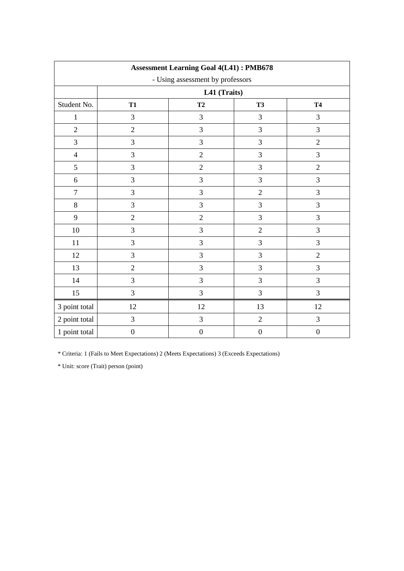| <b>Assessment Learning Goal 4(L41): PMB678</b> |                                           |                  |                  |                  |  |  |  |  |
|------------------------------------------------|-------------------------------------------|------------------|------------------|------------------|--|--|--|--|
| - Using assessment by professors               |                                           |                  |                  |                  |  |  |  |  |
|                                                | L41 (Traits)                              |                  |                  |                  |  |  |  |  |
| Student No.                                    | <b>T3</b><br><b>T1</b><br>T2<br><b>T4</b> |                  |                  |                  |  |  |  |  |
| $\mathbf{1}$                                   | 3                                         | $\mathfrak{Z}$   | $\mathfrak{Z}$   | $\mathfrak{Z}$   |  |  |  |  |
| $\overline{2}$                                 | $\sqrt{2}$                                | 3                | 3                | 3                |  |  |  |  |
| 3                                              | $\mathfrak{Z}$                            | 3                | 3                | $\overline{2}$   |  |  |  |  |
| $\overline{4}$                                 | $\mathfrak{Z}$                            | $\overline{2}$   | $\mathfrak{Z}$   | 3                |  |  |  |  |
| 5                                              | $\mathfrak{Z}$                            | $\overline{2}$   | 3                | $\sqrt{2}$       |  |  |  |  |
| $\sqrt{6}$                                     | 3                                         | 3                | 3                | $\mathfrak{Z}$   |  |  |  |  |
| $\overline{7}$                                 | $\mathfrak{Z}$                            | 3                | $\overline{2}$   | 3                |  |  |  |  |
| $8\,$                                          | 3                                         | 3                | 3                | 3                |  |  |  |  |
| 9                                              | $\sqrt{2}$                                | $\overline{2}$   | 3                | $\mathfrak{Z}$   |  |  |  |  |
| 10                                             | $\mathfrak{Z}$                            | 3                | $\overline{2}$   | $\mathfrak{Z}$   |  |  |  |  |
| 11                                             | 3                                         | $\mathfrak{Z}$   | $\mathfrak{Z}$   | $\mathfrak{Z}$   |  |  |  |  |
| 12                                             | 3                                         | 3                | 3                | $\overline{2}$   |  |  |  |  |
| 13                                             | $\overline{2}$                            | 3                | 3                | 3                |  |  |  |  |
| 14                                             | $\mathfrak{Z}$                            | 3                | $\mathfrak{Z}$   | $\mathfrak{Z}$   |  |  |  |  |
| 15                                             | 3                                         | 3                | 3                | 3                |  |  |  |  |
| 3 point total                                  | 12                                        | 12               | 13               | 12               |  |  |  |  |
| 2 point total                                  | $\mathfrak{Z}$                            | 3                | $\sqrt{2}$       | $\mathfrak{Z}$   |  |  |  |  |
| 1 point total                                  | $\boldsymbol{0}$                          | $\boldsymbol{0}$ | $\boldsymbol{0}$ | $\boldsymbol{0}$ |  |  |  |  |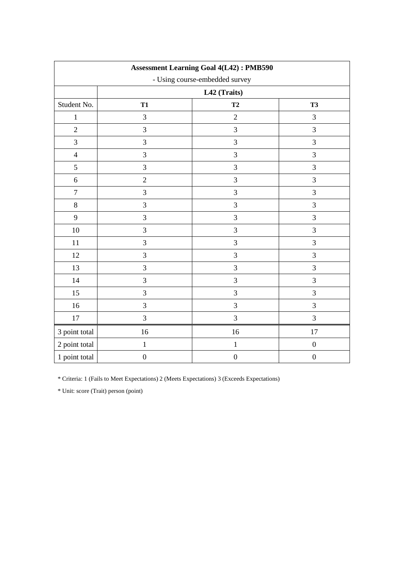| <b>Assessment Learning Goal 4(L42): PMB590</b> |                                          |                  |                  |  |  |  |  |
|------------------------------------------------|------------------------------------------|------------------|------------------|--|--|--|--|
|                                                | - Using course-embedded survey           |                  |                  |  |  |  |  |
|                                                | L42 (Traits)                             |                  |                  |  |  |  |  |
| Student No.                                    | T <sub>2</sub><br><b>T3</b><br><b>T1</b> |                  |                  |  |  |  |  |
| $\,1\,$                                        | $\mathfrak{Z}$                           | $\overline{2}$   | $\overline{3}$   |  |  |  |  |
| $\mathbf{2}$                                   | 3                                        | 3                | $\overline{3}$   |  |  |  |  |
| 3                                              | 3                                        | 3                | $\overline{3}$   |  |  |  |  |
| $\overline{4}$                                 | 3                                        | 3                | $\mathfrak{Z}$   |  |  |  |  |
| 5                                              | 3                                        | 3                | $\overline{3}$   |  |  |  |  |
| 6                                              | $\overline{2}$                           | 3                | $\mathfrak{Z}$   |  |  |  |  |
| $\boldsymbol{7}$                               | 3                                        | 3                | $\overline{3}$   |  |  |  |  |
| $8\,$                                          | 3                                        | 3                | $\overline{3}$   |  |  |  |  |
| 9                                              | 3                                        | $\mathfrak{Z}$   | 3                |  |  |  |  |
| $10\,$                                         | 3                                        | 3                | $\overline{3}$   |  |  |  |  |
| 11                                             | 3                                        | 3                | $\mathfrak{Z}$   |  |  |  |  |
| 12                                             | 3                                        | 3                | $\overline{3}$   |  |  |  |  |
| 13                                             | 3                                        | 3                | $\overline{3}$   |  |  |  |  |
| 14                                             | 3                                        | 3                | $\overline{3}$   |  |  |  |  |
| 15                                             | $\mathfrak{Z}$                           | 3                | $\mathfrak{Z}$   |  |  |  |  |
| 16                                             | 3                                        | 3                | $\overline{3}$   |  |  |  |  |
| $17\,$                                         | 3                                        | 3                | $\overline{3}$   |  |  |  |  |
| 3 point total                                  | 16                                       | 16               | 17               |  |  |  |  |
| 2 point total                                  | $\mathbf 1$                              | $\,1\,$          | $\boldsymbol{0}$ |  |  |  |  |
| 1 point total                                  | $\boldsymbol{0}$                         | $\boldsymbol{0}$ | $\boldsymbol{0}$ |  |  |  |  |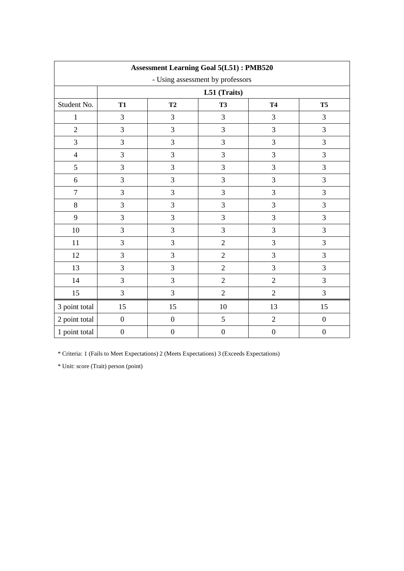| <b>Assessment Learning Goal 5(L51): PMB520</b> |                                                             |                  |                  |                  |                  |  |  |  |  |
|------------------------------------------------|-------------------------------------------------------------|------------------|------------------|------------------|------------------|--|--|--|--|
| - Using assessment by professors               |                                                             |                  |                  |                  |                  |  |  |  |  |
|                                                | L51 (Traits)                                                |                  |                  |                  |                  |  |  |  |  |
| Student No.                                    | T <sub>2</sub><br><b>T4</b><br><b>T5</b><br>T1<br><b>T3</b> |                  |                  |                  |                  |  |  |  |  |
| $\mathbf{1}$                                   | $\overline{3}$                                              | $\mathfrak{Z}$   | 3                | 3                | $\mathfrak{Z}$   |  |  |  |  |
| $\overline{2}$                                 | $\overline{3}$                                              | 3                | 3                | 3                | 3                |  |  |  |  |
| 3                                              | $\overline{3}$                                              | 3                | 3                | 3                | $\overline{3}$   |  |  |  |  |
| $\overline{4}$                                 | 3                                                           | 3                | 3                | 3                | $\mathfrak{Z}$   |  |  |  |  |
| 5                                              | 3                                                           | 3                | 3                | 3                | 3                |  |  |  |  |
| $\boldsymbol{6}$                               | $\overline{3}$                                              | 3                | 3                | 3                | 3                |  |  |  |  |
| $\tau$                                         | $\mathfrak{Z}$                                              | $\mathfrak{Z}$   | 3                | 3                | $\mathfrak{Z}$   |  |  |  |  |
| $8\,$                                          | 3                                                           | 3                | 3                | 3                | $\overline{3}$   |  |  |  |  |
| 9                                              | $\overline{3}$                                              | 3                | 3                | 3                | $\overline{3}$   |  |  |  |  |
| $10\,$                                         | 3                                                           | 3                | 3                | 3                | 3                |  |  |  |  |
| 11                                             | 3                                                           | $\mathfrak{Z}$   | $\overline{2}$   | 3                | $\mathfrak{Z}$   |  |  |  |  |
| 12                                             | 3                                                           | 3                | $\overline{2}$   | 3                | $\overline{3}$   |  |  |  |  |
| 13                                             | 3                                                           | 3                | $\overline{2}$   | 3                | $\overline{3}$   |  |  |  |  |
| 14                                             | 3                                                           | $\mathfrak{Z}$   | $\overline{2}$   | $\overline{2}$   | $\mathfrak{Z}$   |  |  |  |  |
| 15                                             | 3                                                           | 3                | $\overline{2}$   | $\overline{2}$   | 3                |  |  |  |  |
| 3 point total                                  | 15                                                          | 15               | 10               | 13               | 15               |  |  |  |  |
| 2 point total                                  | $\boldsymbol{0}$                                            | $\boldsymbol{0}$ | 5                | $\sqrt{2}$       | $\boldsymbol{0}$ |  |  |  |  |
| 1 point total                                  | $\boldsymbol{0}$                                            | $\boldsymbol{0}$ | $\boldsymbol{0}$ | $\boldsymbol{0}$ | $\boldsymbol{0}$ |  |  |  |  |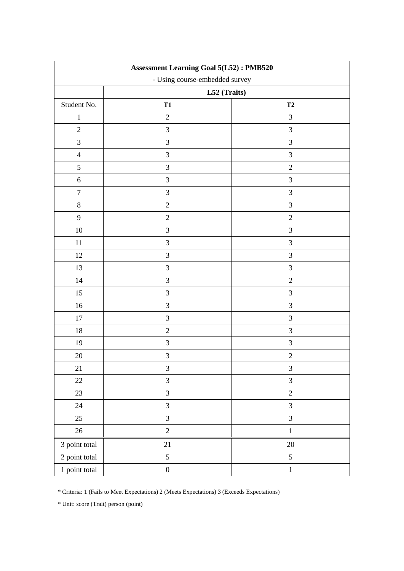| <b>Assessment Learning Goal 5(L52): PMB520</b> |                                |                |  |  |  |  |  |
|------------------------------------------------|--------------------------------|----------------|--|--|--|--|--|
|                                                | - Using course-embedded survey |                |  |  |  |  |  |
|                                                | L52 (Traits)                   |                |  |  |  |  |  |
| Student No.                                    | <b>T1</b>                      | T2             |  |  |  |  |  |
| $\mathbf{1}$                                   | $\sqrt{2}$                     | $\mathfrak{Z}$ |  |  |  |  |  |
| $\sqrt{2}$                                     | 3                              | $\mathfrak{Z}$ |  |  |  |  |  |
| $\mathfrak{Z}$                                 | $\mathfrak{Z}$                 | 3              |  |  |  |  |  |
| $\overline{4}$                                 | $\mathfrak{Z}$                 | $\mathfrak{Z}$ |  |  |  |  |  |
| 5                                              | 3                              | $\overline{2}$ |  |  |  |  |  |
| $\sqrt{6}$                                     | 3                              | 3              |  |  |  |  |  |
| $\overline{7}$                                 | $\mathfrak{Z}$                 | $\mathfrak{Z}$ |  |  |  |  |  |
| $\,8\,$                                        | $\overline{2}$                 | $\mathfrak{Z}$ |  |  |  |  |  |
| $\mathbf{9}$                                   | $\overline{2}$                 | $\overline{2}$ |  |  |  |  |  |
| $10\,$                                         | $\mathfrak{Z}$                 | 3              |  |  |  |  |  |
| $11\,$                                         | 3                              | 3              |  |  |  |  |  |
| $12\,$                                         | $\mathfrak{Z}$                 | $\mathfrak{Z}$ |  |  |  |  |  |
| 13                                             | $\mathfrak{Z}$                 | $\mathfrak{Z}$ |  |  |  |  |  |
| 14                                             | $\mathfrak{Z}$                 | $\sqrt{2}$     |  |  |  |  |  |
| 15                                             | $\mathfrak{Z}$                 | $\mathfrak{Z}$ |  |  |  |  |  |
| 16                                             | $\mathfrak{Z}$                 | 3              |  |  |  |  |  |
| $17\,$                                         | 3                              | 3              |  |  |  |  |  |
| 18                                             | $\sqrt{2}$                     | 3              |  |  |  |  |  |
| 19                                             | $\mathfrak{Z}$                 | 3              |  |  |  |  |  |
| 20                                             | $\mathfrak{Z}$                 | $\sqrt{2}$     |  |  |  |  |  |
| 21                                             | $\mathfrak{Z}$                 | $\mathfrak{Z}$ |  |  |  |  |  |
| $22\,$                                         | $\overline{3}$                 | $\mathfrak{Z}$ |  |  |  |  |  |
| 23                                             | $\overline{3}$                 | $\overline{c}$ |  |  |  |  |  |
| $24\,$                                         | $\overline{3}$                 | $\mathfrak{Z}$ |  |  |  |  |  |
| 25                                             | $\overline{3}$                 | $\mathfrak{Z}$ |  |  |  |  |  |
| $26\,$                                         | $\sqrt{2}$                     | $\,1\,$        |  |  |  |  |  |
| 3 point total                                  | 21                             | $20\,$         |  |  |  |  |  |
| 2 point total                                  | 5                              | $5\,$          |  |  |  |  |  |
| 1 point total                                  | $\boldsymbol{0}$               | $\,1\,$        |  |  |  |  |  |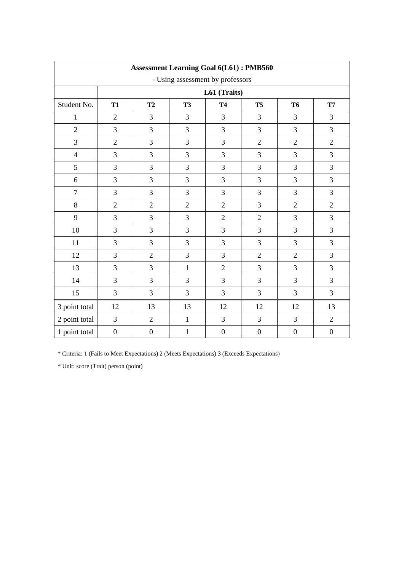| <b>Assessment Learning Goal 6(L61): PMB560</b> |                  |                  |                |                  |                  |                  |                  |  |  |
|------------------------------------------------|------------------|------------------|----------------|------------------|------------------|------------------|------------------|--|--|
| - Using assessment by professors               |                  |                  |                |                  |                  |                  |                  |  |  |
|                                                | L61 (Traits)     |                  |                |                  |                  |                  |                  |  |  |
| Student No.                                    | <b>T1</b>        | T2               | <b>T3</b>      | <b>T4</b>        | <b>T5</b>        | <b>T6</b>        | <b>T7</b>        |  |  |
| 1                                              | $\overline{2}$   | $\overline{3}$   | 3              | $\overline{3}$   | 3                | $\overline{3}$   | 3                |  |  |
| $\overline{2}$                                 | 3                | $\overline{3}$   | 3              | 3                | 3                | $\overline{3}$   | 3                |  |  |
| 3                                              | $\overline{2}$   | 3                | 3              | 3                | $\overline{2}$   | $\overline{2}$   | $\overline{2}$   |  |  |
| $\overline{4}$                                 | 3                | $\overline{3}$   | 3              | $\overline{3}$   | 3                | $\overline{3}$   | 3                |  |  |
| 5                                              | 3                | 3                | 3              | 3                | 3                | $\overline{3}$   | 3                |  |  |
| 6                                              | 3                | $\overline{3}$   | 3              | 3                | 3                | $\overline{3}$   | 3                |  |  |
| $\overline{7}$                                 | 3                | 3                | 3              | 3                | 3                | 3                | 3                |  |  |
| 8                                              | $\overline{2}$   | $\overline{2}$   | $\overline{2}$ | $\overline{2}$   | 3                | $\overline{2}$   | $\overline{2}$   |  |  |
| 9                                              | 3                | 3                | 3              | $\overline{2}$   | $\overline{2}$   | 3                | 3                |  |  |
| 10                                             | 3                | 3                | 3              | 3                | 3                | $\overline{3}$   | 3                |  |  |
| 11                                             | 3                | $\overline{3}$   | 3              | $\overline{3}$   | 3                | $\overline{3}$   | 3                |  |  |
| 12                                             | 3                | $\overline{2}$   | 3              | 3                | $\overline{2}$   | $\overline{2}$   | 3                |  |  |
| 13                                             | 3                | 3                | $\mathbf{1}$   | $\overline{2}$   | 3                | $\overline{3}$   | 3                |  |  |
| 14                                             | 3                | $\mathfrak{Z}$   | 3              | 3                | 3                | $\overline{3}$   | 3                |  |  |
| 15                                             | 3                | $\mathfrak{Z}$   | 3              | $\overline{3}$   | 3                | $\overline{3}$   | 3                |  |  |
| 3 point total                                  | 12               | 13               | 13             | 12               | 12               | 12               | 13               |  |  |
| 2 point total                                  | 3                | $\mathbf{2}$     | $\mathbf{1}$   | 3                | 3                | $\mathfrak{Z}$   | $\sqrt{2}$       |  |  |
| 1 point total                                  | $\boldsymbol{0}$ | $\boldsymbol{0}$ | $\mathbf{1}$   | $\boldsymbol{0}$ | $\boldsymbol{0}$ | $\boldsymbol{0}$ | $\boldsymbol{0}$ |  |  |